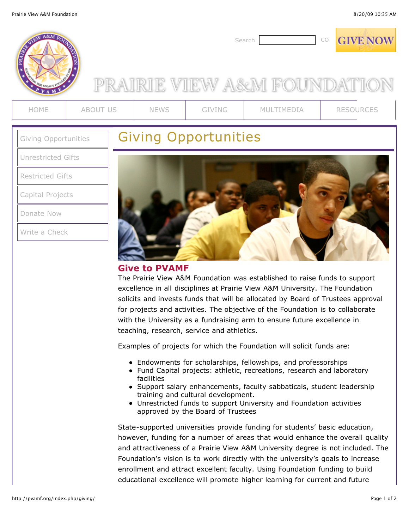

[Donate Now](https://app.etapestry.com/hosted/PrairieViewAMFoundation/OnlineDonation.html)

[Write a Check](http://pvamf.org/index.php/giving/check)



The Prairie View A&M Foundation was established to raise funds to support excellence in all disciplines at Prairie View A&M University. The Foundation solicits and invests funds that will be allocated by Board of Trustees approval for projects and activities. The objective of the Foundation is to collaborate with the University as a fundraising arm to ensure future excellence in teaching, research, service and athletics.

Examples of projects for which the Foundation will solicit funds are:

- Endowments for scholarships, fellowships, and professorships
- Fund Capital projects: athletic, recreations, research and laboratory facilities
- Support salary enhancements, faculty sabbaticals, student leadership training and cultural development.
- Unrestricted funds to support University and Foundation activities approved by the Board of Trustees

State-supported universities provide funding for students' basic education, however, funding for a number of areas that would enhance the overall quality and attractiveness of a Prairie View A&M University degree is not included. The Foundation's vision is to work directly with the university's goals to increase enrollment and attract excellent faculty. Using Foundation funding to build educational excellence will promote higher learning for current and future